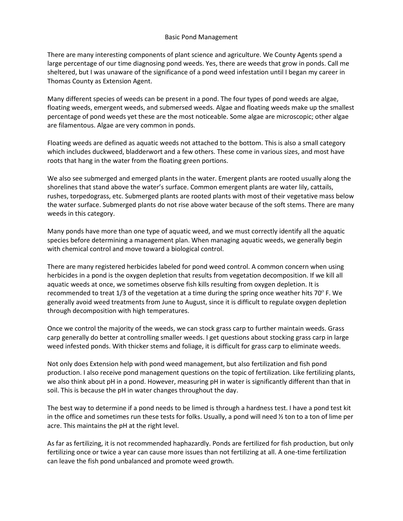There are many interesting components of plant science and agriculture. We County Agents spend a large percentage of our time diagnosing pond weeds. Yes, there are weeds that grow in ponds. Call me sheltered, but I was unaware of the significance of a pond weed infestation until I began my career in Thomas County as Extension Agent.

Many different species of weeds can be present in a pond. The four types of pond weeds are algae, floating weeds, emergent weeds, and submersed weeds. Algae and floating weeds make up the smallest percentage of pond weeds yet these are the most noticeable. Some algae are microscopic; other algae are filamentous. Algae are very common in ponds.

Floating weeds are defined as aquatic weeds not attached to the bottom. This is also a small category which includes duckweed, bladderwort and a few others. These come in various sizes, and most have roots that hang in the water from the floating green portions.

We also see submerged and emerged plants in the water. Emergent plants are rooted usually along the shorelines that stand above the water's surface. Common emergent plants are water lily, cattails, rushes, torpedograss, etc. Submerged plants are rooted plants with most of their vegetative mass below the water surface. Submerged plants do not rise above water because of the soft stems. There are many weeds in this category.

Many ponds have more than one type of aquatic weed, and we must correctly identify all the aquatic species before determining a management plan. When managing aquatic weeds, we generally begin with chemical control and move toward a biological control.

There are many registered herbicides labeled for pond weed control. A common concern when using herbicides in a pond is the oxygen depletion that results from vegetation decomposition. If we kill all aquatic weeds at once, we sometimes observe fish kills resulting from oxygen depletion. It is recommended to treat  $1/3$  of the vegetation at a time during the spring once weather hits 70° F. We generally avoid weed treatments from June to August, since it is difficult to regulate oxygen depletion through decomposition with high temperatures.

Once we control the majority of the weeds, we can stock grass carp to further maintain weeds. Grass carp generally do better at controlling smaller weeds. I get questions about stocking grass carp in large weed infested ponds. With thicker stems and foliage, it is difficult for grass carp to eliminate weeds.

Not only does Extension help with pond weed management, but also fertilization and fish pond production. I also receive pond management questions on the topic of fertilization. Like fertilizing plants, we also think about pH in a pond. However, measuring pH in water is significantly different than that in soil. This is because the pH in water changes throughout the day.

The best way to determine if a pond needs to be limed is through a hardness test. I have a pond test kit in the office and sometimes run these tests for folks. Usually, a pond will need ½ ton to a ton of lime per acre. This maintains the pH at the right level.

As far as fertilizing, it is not recommended haphazardly. Ponds are fertilized for fish production, but only fertilizing once or twice a year can cause more issues than not fertilizing at all. A one-time fertilization can leave the fish pond unbalanced and promote weed growth.